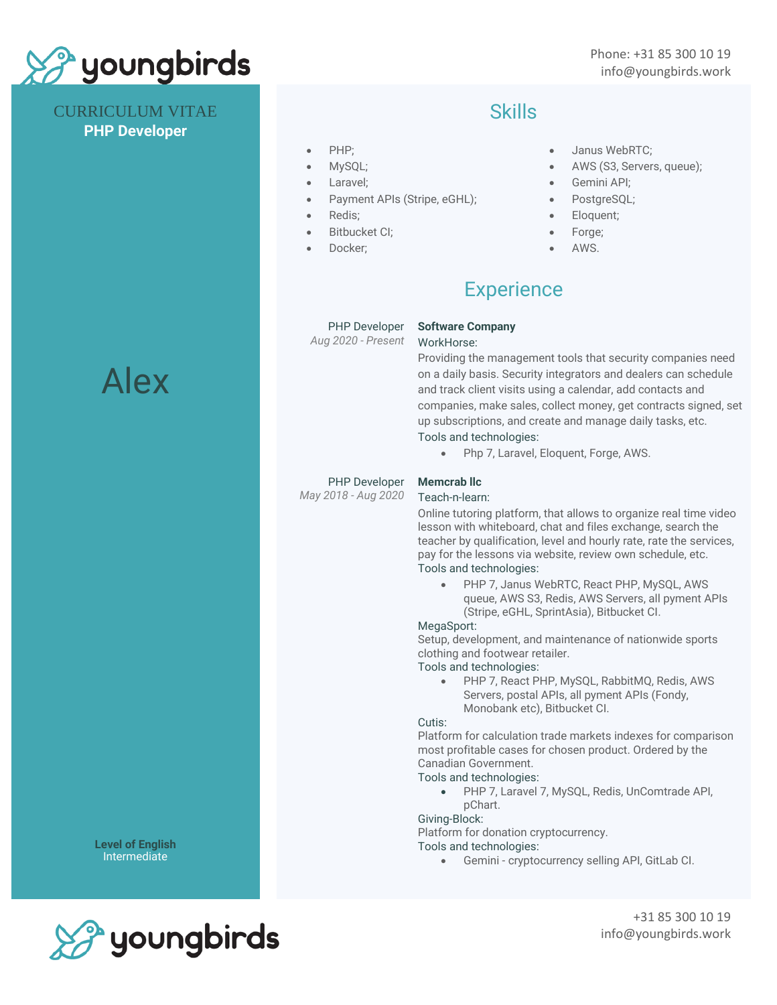

CURRICULUM VITAE **PHP Developer**

## Skills

- PHP;
- MySQL;
- Laravel;
- Payment APIs (Stripe, eGHL);
- Redis;
- Bitbucket CI;
- Docker:
- Janus WebRTC;
- AWS (S3, Servers, queue);
- Gemini API;
- PostgreSQL;
- Eloquent;
- Forge;
- AWS.

# **Experience**

PHP Developer

*Aug 2020 - Present*

#### **Software Company**

#### WorkHorse:

Providing the management tools that security companies need on a daily basis. Security integrators and dealers can schedule and track client visits using a calendar, add contacts and companies, make sales, collect money, get contracts signed, set up subscriptions, and create and manage daily tasks, etc. Tools and technologies:

• Php 7, Laravel, Eloquent, Forge, AWS.

#### PHP Developer

*May 2018 - Aug 2020*

### **Memcrab llc**

Teach-n-learn:

Online tutoring platform, that allows to organize real time video lesson with whiteboard, chat and files exchange, search the teacher by qualification, level and hourly rate, rate the services, pay for the lessons via website, review own schedule, etc. Tools and technologies:

• PHP 7, Janus WebRTC, React PHP, MySQL, AWS queue, AWS S3, Redis, AWS Servers, all pyment APIs (Stripe, eGHL, SprintAsia), Bitbucket CI.

#### MegaSport:

Setup, development, and maintenance of nationwide sports clothing and footwear retailer.

Tools and technologies:

• PHP 7, React PHP, MySQL, RabbitMQ, Redis, AWS Servers, postal APIs, all pyment APIs (Fondy, Monobank etc), Bitbucket CI.

#### Cutis:

Platform for calculation trade markets indexes for comparison most profitable cases for chosen product. Ordered by the Canadian Government.

Tools and technologies:

• PHP 7, Laravel 7, MySQL, Redis, UnComtrade API, pChart.

#### Giving-Block:

Platform for donation cryptocurrency.

Tools and technologies:

• Gemini - cryptocurrency selling API, GitLab CI.



**Level of English** Intermediate

> +31 85 300 10 19 info@youngbirds.work

# Alex